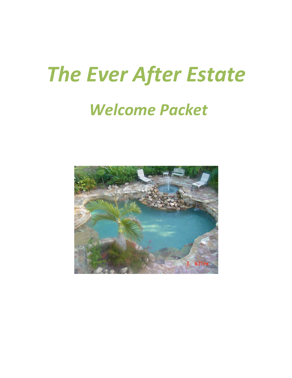# *The Ever After Estate*

## *Welcome Packet*

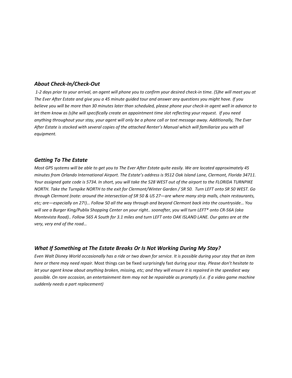#### *About Check-In/Check-Out*

 *1-2 days prior to your arrival, an agent will phone you to confirm your desired check-in time. (S)he will meet you at The Ever After Estate and give you a 45 minute guided tour and answer any questions you might have. If you believe you will be more than 30 minutes later than scheduled, please phone your check-in agent well in advance to let them know as (s)he will specifically create an appointment time slot reflecting your request. If you need anything throughout your stay, your agent will only be a phone call or text message away. Additionally, The Ever After Estate is stocked with several copies of the attached Renter's Manual which will familiarize you with all equipment.* 

#### *Getting To The Estate*

*Most GPS systems will be able to get you to The Ever After Estate quite easily. We are located approximately 45 minutes from Orlando International Airport. The Estate's address is 9512 Oak Island Lane, Clermont, Florida 34711. Your assigned gate code is 5734. In short, you will take the 528 WEST out of the airport to the FLORIDA TURNPIKE NORTH. Take the Turnpike NORTH to the exit for Clermont/Winter Garden / SR 50. Turn LEFT onto SR 50 WEST. Go through Clermont (note: around the intersection of SR 50 & US 27—are where many strip malls, chain restaurants, etc; are—especially on 27!)… Follow 50 all the way through and beyond Clermont back into the countryside… You will see a Burger King/Publix Shopping Center on your right.. soonafter, you will turn LEFT\* onto CR-56A (aka Montevista Road).. Follow 565 A South for 3.1 miles and turn LEFT onto OAK ISLAND LANE. Our gates are at the very, very end of the road…* 

#### *What If Something at The Estate Breaks Or Is Not Working During My Stay?*

*Even Walt Disney World occasionally has a ride or two down for service. It is possible during your stay that an item here or there may need repair.* Most things can be fixed surprisingly fast during your stay*. Please don't hesitate to let your agent know about anything broken, missing, etc; and they will ensure it is repaired in the speediest way possible. On rare occasion, an entertainment item may not be repairable as promptly (i.e. if a video game machine suddenly needs a part replacement)*